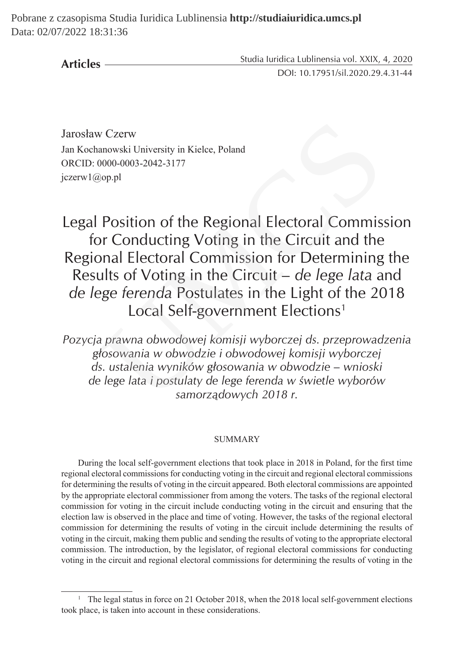**Articles**

Studia Iuridica Lublinensia vol. XXIX, 4, 2020 DOI: 10.17951/sil.2020.29.4.31-44

Jarosław Czerw Jan Kochanowski University in Kielce, Poland ORCID: 0000-0003-2042-3177 jczerw1@op.pl

Legal Position of the Regional Electoral Commission for Conducting Voting in the Circuit and the Regional Electoral Commission for Determining the Results of Voting in the Circuit – *de lege lata* and *de lege ferenda* Postulates in the Light of the 2018 Local Self-government Elections<sup>1</sup> v Czerw<br>
anowski University in Kielce, Poland<br>
0000-0003-2042-3177<br>
00p.pl<br>
Position of the Regional Electoral Commis<br>
or Conducting Voting in the Circuit and the<br>
onal Electoral Commission for Determining<br>
ults of Voting

*Pozycja prawna obwodowej komisji wyborczej ds. przeprowadzenia głosowania w obwodzie i obwodowej komisji wyborczej ds. ustalenia wyników głosowania w obwodzie – wnioski de lege lata i postulaty de lege ferenda w świetle wyborów samorządowych 2018 r.*

#### SUMMARY

During the local self-government elections that took place in 2018 in Poland, for the first time regional electoral commissions for conducting voting in the circuit and regional electoral commissions for determining the results of voting in the circuit appeared. Both electoral commissions are appointed by the appropriate electoral commissioner from among the voters. The tasks of the regional electoral commission for voting in the circuit include conducting voting in the circuit and ensuring that the election law is observed in the place and time of voting. However, the tasks of the regional electoral commission for determining the results of voting in the circuit include determining the results of voting in the circuit, making them public and sending the results of voting to the appropriate electoral commission. The introduction, by the legislator, of regional electoral commissions for conducting voting in the circuit and regional electoral commissions for determining the results of voting in the

<sup>&</sup>lt;sup>1</sup> The legal status in force on 21 October 2018, when the 2018 local self-government elections took place, is taken into account in these considerations.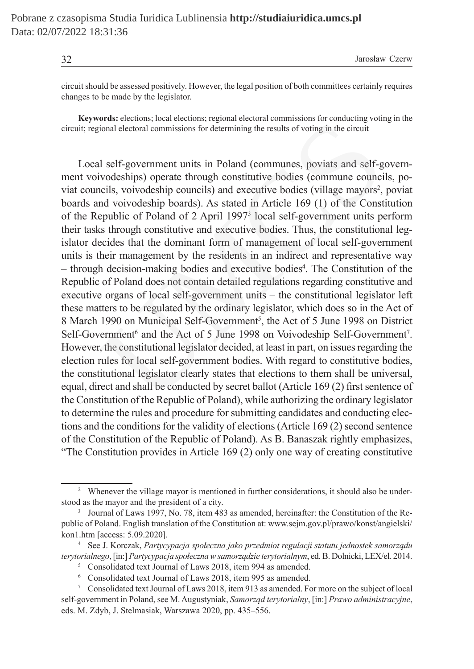32 Jarosław Czerw

circuit should be assessed positively. However, the legal position of both committees certainly requires changes to be made by the legislator.

**Keywords:** elections; local elections; regional electoral commissions for conducting voting in the circuit; regional electoral commissions for determining the results of voting in the circuit

Local self-government units in Poland (communes, poviats and self-government voivodeships) operate through constitutive bodies (commune councils, poviat councils, voivodeship councils) and executive bodies (village mayors<sup>2</sup>, poviat boards and voivodeship boards). As stated in Article 169 (1) of the Constitution of the Republic of Poland of 2 April 19973 local self-government units perform their tasks through constitutive and executive bodies. Thus, the constitutional legislator decides that the dominant form of management of local self-government units is their management by the residents in an indirect and representative way – through decision-making bodies and executive bodies<sup>4</sup>. The Constitution of the Republic of Poland does not contain detailed regulations regarding constitutive and executive organs of local self-government units – the constitutional legislator left these matters to be regulated by the ordinary legislator, which does so in the Act of 8 March 1990 on Municipal Self-Government<sup>5</sup>, the Act of 5 June 1998 on District Self-Government<sup>6</sup> and the Act of 5 June 1998 on Voivodeship Self-Government<sup>7</sup>. However, the constitutional legislator decided, at least in part, on issues regarding the election rules for local self-government bodies. With regard to constitutive bodies, the constitutional legislator clearly states that elections to them shall be universal, equal, direct and shall be conducted by secret ballot (Article 169 (2) first sentence of the Constitution of the Republic of Poland), while authorizing the ordinary legislator to determine the rules and procedure for submitting candidates and conducting elections and the conditions for the validity of elections (Article 169 (2) second sentence of the Constitution of the Republic of Poland). As B. Banaszak rightly emphasizes, "The Constitution provides in Article 169 (2) only one way of creating constitutive ords. cectors, ocal centerions, regional centerions of visital centerions of change original electoral commissions for determining the results of voting in the circuit<br>Il self-government units in Poland (communes, poviats

<sup>&</sup>lt;sup>2</sup> Whenever the village mayor is mentioned in further considerations, it should also be understood as the mayor and the president of a city.

<sup>&</sup>lt;sup>3</sup> Journal of Laws 1997, No. 78, item 483 as amended, hereinafter: the Constitution of the Republic of Poland. English translation of the Constitution at: www.sejm.gov.pl/prawo/konst/angielski/ kon1.htm [access: 5.09.2020].

<sup>4</sup> See J. Korczak, *Partycypacja społeczna jako przedmiot regulacji statutu jednostek samorządu terytorialnego*, [in:] *Partycypacja społeczna wsamorządzie terytorialnym*, ed. B. Dolnicki, LEX/el. 2014.

<sup>&</sup>lt;sup>5</sup> Consolidated text Journal of Laws 2018, item 994 as amended.

<sup>6</sup> Consolidated text Journal of Laws 2018, item 995 as amended.

<sup>7</sup> Consolidated text Journal of Laws 2018, item 913 as amended. For more on the subject of local self-government in Poland, see M. Augustyniak, *Samorząd terytorialny*, [in:] *Prawo administracyjne*, eds. M. Zdyb, J. Stelmasiak, Warszawa 2020, pp. 435–556.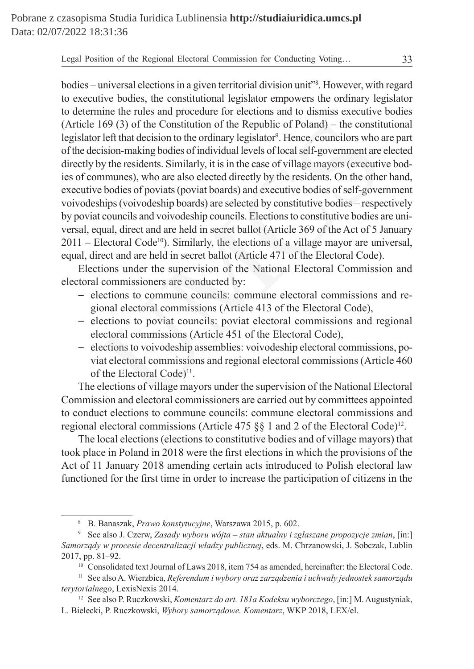bodies – universal elections in a given territorial division unit"<sup>8</sup>. However, with regard to executive bodies, the constitutional legislator empowers the ordinary legislator to determine the rules and procedure for elections and to dismiss executive bodies (Article 169 (3) of the Constitution of the Republic of Poland) – the constitutional legislator left that decision to the ordinary legislator<sup>9</sup>. Hence, councilors who are part of the decision-making bodies of individual levels of local self-government are elected directly by the residents. Similarly, it is in the case of village mayors (executive bodies of communes), who are also elected directly by the residents. On the other hand, executive bodies of poviats (poviat boards) and executive bodies of self-government voivodeships (voivodeship boards) are selected by constitutive bodies – respectively by poviat councils and voivodeship councils. Elections to constitutive bodies are universal, equal, direct and are held in secret ballot (Article 369 of the Act of 5 January  $2011$  – Electoral Code<sup>10</sup>). Similarly, the elections of a village mayor are universal, equal, direct and are held in secret ballot (Article 471 of the Electoral Code). 169 (3) of the Constitution of the Republic of Poland) – the constit<br>left that decision to the ordinary legislator<sup>9</sup>. Hence, councilors who a<br>tision-making bodies of individual levels of local self-government are<br>by the

Elections under the supervision of the National Electoral Commission and electoral commissioners are conducted by:

- − elections to commune councils: commune electoral commissions and regional electoral commissions (Article 413 of the Electoral Code),
- − elections to poviat councils: poviat electoral commissions and regional electoral commissions (Article 451 of the Electoral Code),
- − elections to voivodeship assemblies: voivodeship electoral commissions, poviat electoral commissions and regional electoral commissions (Article 460 of the Electoral Code)<sup>11</sup>.

The elections of village mayors under the supervision of the National Electoral Commission and electoral commissioners are carried out by committees appointed to conduct elections to commune councils: commune electoral commissions and regional electoral commissions (Article 475  $\S$ ) and 2 of the Electoral Code)<sup>12</sup>.

The local elections (elections to constitutive bodies and of village mayors) that took place in Poland in 2018 were the first elections in which the provisions of the Act of 11 January 2018 amending certain acts introduced to Polish electoral law functioned for the first time in order to increase the participation of citizens in the

<sup>8</sup> B. Banaszak, *Prawo konstytucyjne*, Warszawa 2015, p. 602.

<sup>9</sup> See also J. Czerw, *Zasady wyboru wójta – stan aktualny i zgłaszane propozycje zmian*, [in:] *Samorządy w procesie decentralizacji władzy publicznej*, eds. M. Chrzanowski, J. Sobczak, Lublin 2017, pp. 81–92.

<sup>&</sup>lt;sup>10</sup> Consolidated text Journal of Laws 2018, item 754 as amended, hereinafter: the Electoral Code.

<sup>11</sup> See also A. Wierzbica, *Referendum i wybory oraz zarządzenia i uchwały jednostek samorządu terytorialnego*, LexisNexis 2014.

<sup>12</sup> See also P. Ruczkowski, *Komentarz do art. 181a Kodeksu wyborczego*, [in:] M. Augustyniak, L. Bielecki, P. Ruczkowski, *Wybory samorządowe. Komentarz*, WKP 2018, LEX/el.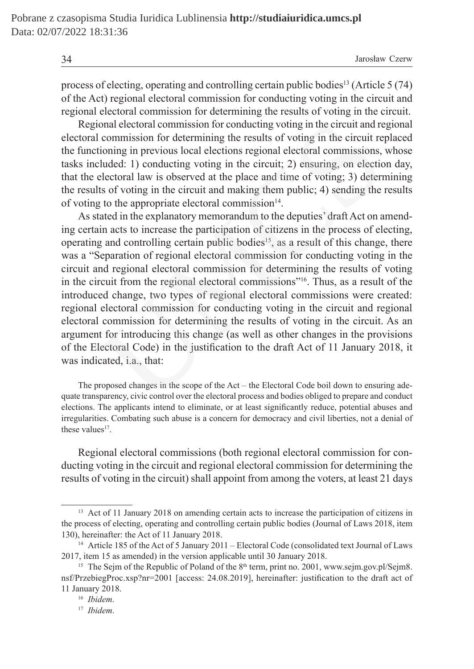process of electing, operating and controlling certain public bodies13 (Article 5 (74) of the Act) regional electoral commission for conducting voting in the circuit and regional electoral commission for determining the results of voting in the circuit.

Regional electoral commission for conducting voting in the circuit and regional electoral commission for determining the results of voting in the circuit replaced the functioning in previous local elections regional electoral commissions, whose tasks included: 1) conducting voting in the circuit; 2) ensuring, on election day, that the electoral law is observed at the place and time of voting; 3) determining the results of voting in the circuit and making them public; 4) sending the results of voting to the appropriate electoral commission $14$ .

As stated in the explanatory memorandum to the deputies' draft Act on amending certain acts to increase the participation of citizens in the process of electing, operating and controlling certain public bodies<sup>15</sup>, as a result of this change, there was a "Separation of regional electoral commission for conducting voting in the circuit and regional electoral commission for determining the results of voting in the circuit from the regional electoral commissions"16. Thus, as a result of the introduced change, two types of regional electoral commissions were created: regional electoral commission for conducting voting in the circuit and regional electoral commission for determining the results of voting in the circuit. As an argument for introducing this change (as well as other changes in the provisions of the Electoral Code) in the justification to the draft Act of 11 January 2018, it was indicated, i.a., that: onal electoral commission for conducting voting in the circuit and re<br>commission for determining the results of voting in the circuit re<br>cioning in previous local elections regional electoral commissions,<br>luluded: 1) cond

The proposed changes in the scope of the Act – the Electoral Code boil down to ensuring adequate transparency, civic control over the electoral process and bodies obliged to prepare and conduct elections. The applicants intend to eliminate, or at least significantly reduce, potential abuses and irregularities. Combating such abuse is a concern for democracy and civil liberties, not a denial of these values $17$ .

Regional electoral commissions (both regional electoral commission for conducting voting in the circuit and regional electoral commission for determining the results of voting in the circuit) shall appoint from among the voters, at least 21 days

<sup>&</sup>lt;sup>13</sup> Act of 11 January 2018 on amending certain acts to increase the participation of citizens in the process of electing, operating and controlling certain public bodies (Journal of Laws 2018, item 130), hereinafter: the Act of 11 January 2018.

<sup>&</sup>lt;sup>14</sup> Article 185 of the Act of 5 January 2011 – Electoral Code (consolidated text Journal of Laws 2017, item 15 as amended) in the version applicable until 30 January 2018.

<sup>&</sup>lt;sup>15</sup> The Sejm of the Republic of Poland of the  $8<sup>th</sup>$  term, print no. 2001, www.sejm.gov.pl/Sejm8. nsf/PrzebiegProc.xsp?nr=2001 [access: 24.08.2019], hereinafter: justification to the draft act of 11 January 2018.

<sup>16</sup> *Ibidem*.

<sup>17</sup> *Ibidem*.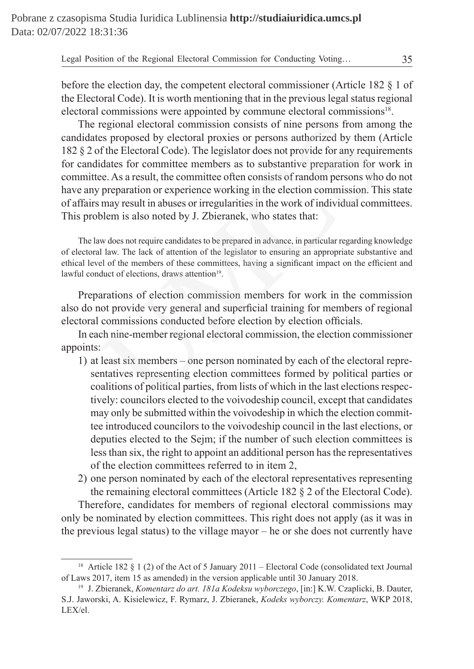before the election day, the competent electoral commissioner (Article 182 § 1 of the Electoral Code). It is worth mentioning that in the previous legal status regional electoral commissions were appointed by commune electoral commissions<sup>18</sup>.

The regional electoral commission consists of nine persons from among the candidates proposed by electoral proxies or persons authorized by them (Article 182 § 2 of the Electoral Code). The legislator does not provide for any requirements for candidates for committee members as to substantive preparation for work in committee. As a result, the committee often consists of random persons who do not have any preparation or experience working in the election commission. This state of affairs may result in abuses or irregularities in the work of individual committees. This problem is also noted by J. Zbieranek, who states that: regional electoral commission consists of nine persons from amo<br>es proposed by electoral proxies or persons authorized by them (<br>of the Electoral Code). The legislator does not provide for any require<br>iddates for committee

The law does not require candidates to be prepared in advance, in particular regarding knowledge of electoral law. The lack of attention of the legislator to ensuring an appropriate substantive and ethical level of the members of these committees, having a significant impact on the efficient and lawful conduct of elections, draws attention<sup>19</sup>.

Preparations of election commission members for work in the commission also do not provide very general and superficial training for members of regional electoral commissions conducted before election by election officials.

In each nine-member regional electoral commission, the election commissioner appoints:

- 1) at least six members one person nominated by each of the electoral representatives representing election committees formed by political parties or coalitions of political parties, from lists of which in the last elections respectively: councilors elected to the voivodeship council, except that candidates may only be submitted within the voivodeship in which the election committee introduced councilors to the voivodeship council in the last elections, or deputies elected to the Sejm; if the number of such election committees is less than six, the right to appoint an additional person has the representatives of the election committees referred to in item 2,
- 2) one person nominated by each of the electoral representatives representing the remaining electoral committees (Article 182 § 2 of the Electoral Code).

Therefore, candidates for members of regional electoral commissions may only be nominated by election committees. This right does not apply (as it was in the previous legal status) to the village mayor – he or she does not currently have

<sup>&</sup>lt;sup>18</sup> Article 182 § 1 (2) of the Act of 5 January 2011 – Electoral Code (consolidated text Journal of Laws 2017, item 15 as amended) in the version applicable until 30 January 2018.

<sup>19</sup> J. Zbieranek, *Komentarz do art. 181a Kodeksu wyborczego*, [in:] K.W. Czaplicki, B. Dauter, S.J. Jaworski, A. Kisielewicz, F. Rymarz, J. Zbieranek, *Kodeks wyborczy. Komentarz*, WKP 2018, LEX/el.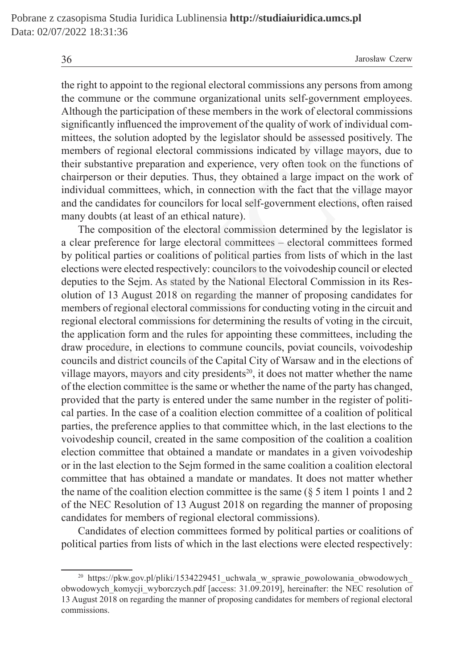the right to appoint to the regional electoral commissions any persons from among the commune or the commune organizational units self-government employees. Although the participation of these members in the work of electoral commissions significantly influenced the improvement of the quality of work of individual committees, the solution adopted by the legislator should be assessed positively. The members of regional electoral commissions indicated by village mayors, due to their substantive preparation and experience, very often took on the functions of chairperson or their deputies. Thus, they obtained a large impact on the work of individual committees, which, in connection with the fact that the village mayor and the candidates for councilors for local self-government elections, often raised many doubts (at least of an ethical nature).

The composition of the electoral commission determined by the legislator is a clear preference for large electoral committees – electoral committees formed by political parties or coalitions of political parties from lists of which in the last elections were elected respectively: councilors to the voivodeship council or elected deputies to the Sejm. As stated by the National Electoral Commission in its Resolution of 13 August 2018 on regarding the manner of proposing candidates for members of regional electoral commissions for conducting voting in the circuit and regional electoral commissions for determining the results of voting in the circuit, the application form and the rules for appointing these committees, including the draw procedure, in elections to commune councils, poviat councils, voivodeship councils and district councils of the Capital City of Warsaw and in the elections of village mayors, mayors and city presidents<sup>20</sup>, it does not matter whether the name of the election committee is the same or whether the name of the party has changed, provided that the party is entered under the same number in the register of political parties. In the case of a coalition election committee of a coalition of political parties, the preference applies to that committee which, in the last elections to the voivodeship council, created in the same composition of the coalition a coalition election committee that obtained a mandate or mandates in a given voivodeship or in the last election to the Sejm formed in the same coalition a coalition electoral committee that has obtained a mandate or mandates. It does not matter whether the name of the coalition election committee is the same  $(\xi 5$  item 1 points 1 and 2 of the NEC Resolution of 13 August 2018 on regarding the manner of proposing candidates for members of regional electoral commissions). multy influenced the improvement of the quality of work of individua<br>the solution adopted by the legislator should be assessed positivel<br>sof regional electoral commissions indicated by village mayors,<br>stantive repearation

Candidates of election committees formed by political parties or coalitions of political parties from lists of which in the last elections were elected respectively:

<sup>&</sup>lt;sup>20</sup> https://pkw.gov.pl/pliki/1534229451\_uchwala\_w\_sprawie\_powolowania\_obwodowych obwodowych komycji wyborczych.pdf [access: 31.09.2019], hereinafter: the NEC resolution of 13 August 2018 on regarding the manner of proposing candidates for members of regional electoral commissions.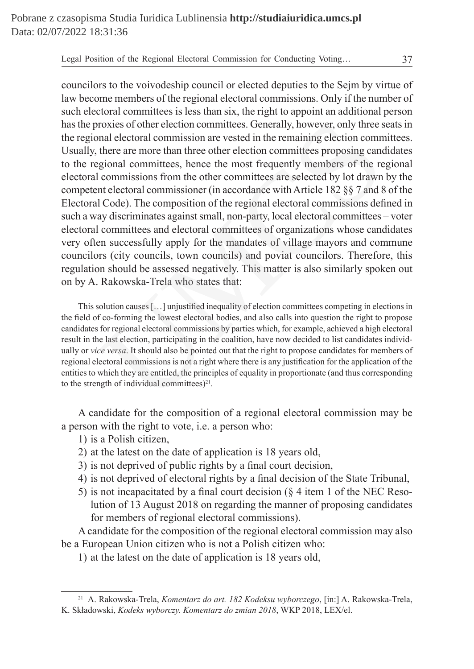councilors to the voivodeship council or elected deputies to the Sejm by virtue of law become members of the regional electoral commissions. Only if the number of such electoral committees is less than six, the right to appoint an additional person has the proxies of other election committees. Generally, however, only three seats in the regional electoral commission are vested in the remaining election committees. Usually, there are more than three other election committees proposing candidates to the regional committees, hence the most frequently members of the regional electoral commissions from the other committees are selected by lot drawn by the competent electoral commissioner (in accordance with Article 182 §§ 7 and 8 of the Electoral Code). The composition of the regional electoral commissions defined in such a way discriminates against small, non-party, local electoral committees – voter electoral committees and electoral committees of organizations whose candidates very often successfully apply for the mandates of village mayors and commune councilors (city councils, town councils) and poviat councilors. Therefore, this regulation should be assessed negatively. This matter is also similarly spoken out on by A. Rakowska-Trela who states that: roxies of other election committees. Generally, however, only three snal electoral commission are vested in the remaining election comm<br>there are more than three other election committees proposing cannoul<br>gional commissio

This solution causes […] unjustified inequality of election committees competing in elections in the field of co-forming the lowest electoral bodies, and also calls into question the right to propose candidates for regional electoral commissions by parties which, for example, achieved a high electoral result in the last election, participating in the coalition, have now decided to list candidates individually or *vice versa*. It should also be pointed out that the right to propose candidates for members of regional electoral commissions is not a right where there is any justification for the application of the entities to which they are entitled, the principles of equality in proportionate (and thus corresponding to the strength of individual committees) $2<sup>1</sup>$ .

A candidate for the composition of a regional electoral commission may be a person with the right to vote, i.e. a person who:

- 1) is a Polish citizen,
- 2) at the latest on the date of application is 18 years old,
- 3) is not deprived of public rights by a final court decision,
- 4) is not deprived of electoral rights by a final decision of the State Tribunal,
- 5) is not incapacitated by a final court decision (§ 4 item 1 of the NEC Resolution of 13 August 2018 on regarding the manner of proposing candidates for members of regional electoral commissions).

A candidate for the composition of the regional electoral commission may also be a European Union citizen who is not a Polish citizen who:

1) at the latest on the date of application is 18 years old,

<sup>21</sup> A. Rakowska-Trela, *Komentarz do art. 182 Kodeksu wyborczego*, [in:] A. Rakowska-Trela, K. Składowski, *Kodeks wyborczy. Komentarz do zmian 2018*, WKP 2018, LEX/el.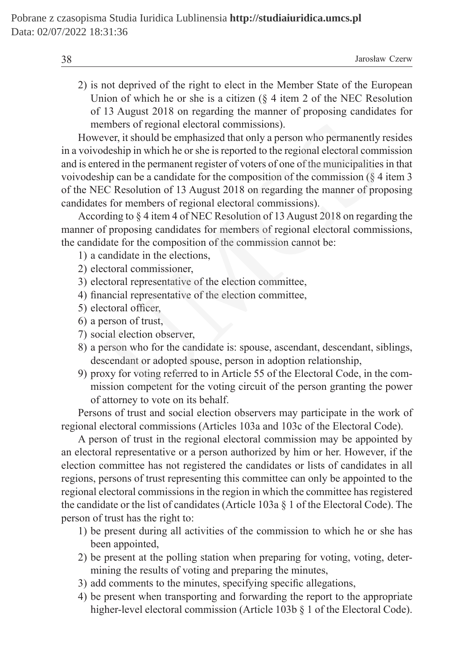| 38 | Jarosław Czerw |
|----|----------------|
|----|----------------|

2) is not deprived of the right to elect in the Member State of the European Union of which he or she is a citizen (§ 4 item 2 of the NEC Resolution of 13 August 2018 on regarding the manner of proposing candidates for members of regional electoral commissions).

However, it should be emphasized that only a person who permanently resides in a voivodeship in which he or she is reported to the regional electoral commission and is entered in the permanent register of voters of one of the municipalities in that voivodeship can be a candidate for the composition of the commission ( $\zeta$  4 item 3 of the NEC Resolution of 13 August 2018 on regarding the manner of proposing candidates for members of regional electoral commissions). embers of regional electoral commissions).<br>
ever, it should be emphasized that only a person who permanently<br>
odeship in which he or she is reported to the regional electoral comm<br>
odeship in which he or she is reported to

According to § 4 item 4 of NEC Resolution of 13 August 2018 on regarding the manner of proposing candidates for members of regional electoral commissions, the candidate for the composition of the commission cannot be:

- 1) a candidate in the elections,
- 2) electoral commissioner,
- 3) electoral representative of the election committee,
- 4) financial representative of the election committee,
- 5) electoral officer,
- 6) a person of trust,
- 7) social election observer,
- 8) a person who for the candidate is: spouse, ascendant, descendant, siblings, descendant or adopted spouse, person in adoption relationship,
- 9) proxy for voting referred to in Article 55 of the Electoral Code, in the commission competent for the voting circuit of the person granting the power of attorney to vote on its behalf.

Persons of trust and social election observers may participate in the work of regional electoral commissions (Articles 103a and 103c of the Electoral Code).

A person of trust in the regional electoral commission may be appointed by an electoral representative or a person authorized by him or her. However, if the election committee has not registered the candidates or lists of candidates in all regions, persons of trust representing this committee can only be appointed to the regional electoral commissions in the region in which the committee has registered the candidate or the list of candidates (Article 103a § 1 of the Electoral Code). The person of trust has the right to:

- 1) be present during all activities of the commission to which he or she has been appointed,
- 2) be present at the polling station when preparing for voting, voting, determining the results of voting and preparing the minutes,
- 3) add comments to the minutes, specifying specific allegations,
- 4) be present when transporting and forwarding the report to the appropriate higher-level electoral commission (Article 103b § 1 of the Electoral Code).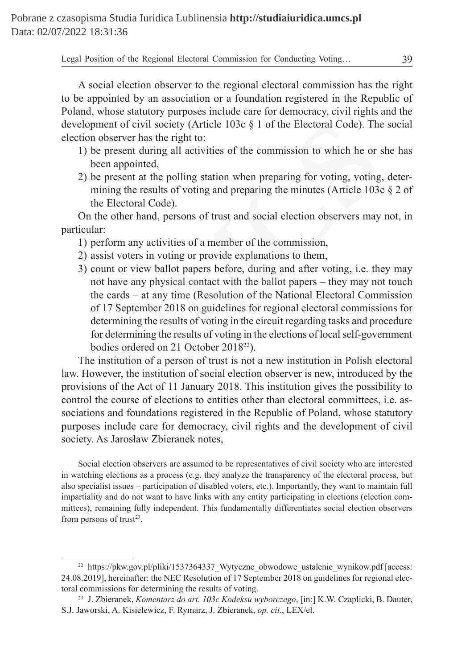A social election observer to the regional electoral commission has the right to be appointed by an association or a foundation registered in the Republic of Poland, whose statutory purposes include care for democracy, civil rights and the development of civil society (Article 103c § 1 of the Electoral Code). The social election observer has the right to:

- 1) be present during all activities of the commission to which he or she has been appointed,
- 2) be present at the polling station when preparing for voting, voting, determining the results of voting and preparing the minutes (Article 103c § 2 of the Electoral Code).

On the other hand, persons of trust and social election observers may not, in particular:

- 1) perform any activities of a member of the commission,
- 2) assist voters in voting or provide explanations to them,
- 3) count or view ballot papers before, during and after voting, i.e. they may not have any physical contact with the ballot papers – they may not touch the cards – at any time (Resolution of the National Electoral Commission of 17 September 2018 on guidelines for regional electoral commissions for determining the results of voting in the circuit regarding tasks and procedure for determining the results of voting in the elections of local self-government bodies ordered on 21 October 2018<sup>22</sup>). ment of civil society (Article 103c § 1 of the Electoral Code). The<br>observer has the right to:<br>present during all activities of the commission to which he or s<br>een appointed,<br>present at the polling station when preparing f

The institution of a person of trust is not a new institution in Polish electoral law. However, the institution of social election observer is new, introduced by the provisions of the Act of 11 January 2018. This institution gives the possibility to control the course of elections to entities other than electoral committees, i.e. associations and foundations registered in the Republic of Poland, whose statutory purposes include care for democracy, civil rights and the development of civil society. As Jarosław Zbieranek notes,

Social election observers are assumed to be representatives of civil society who are interested in watching elections as a process (e.g. they analyze the transparency of the electoral process, but also specialist issues – participation of disabled voters, etc.). Importantly, they want to maintain full impartiality and do not want to have links with any entity participating in elections (election committees), remaining fully independent. This fundamentally differentiates social election observers from persons of trust<sup>23</sup>.

<sup>&</sup>lt;sup>22</sup> https://pkw.gov.pl/pliki/1537364337 Wytyczne obwodowe ustalenie wynikow.pdf [access: 24.08.2019], hereinafter: the NEC Resolution of 17 September 2018 on guidelines for regional electoral commissions for determining the results of voting.

<sup>23</sup> J. Zbieranek, *Komentarz do art. 103c Kodeksu wyborczego*, [in:] K.W. Czaplicki, B. Dauter, S.J. Jaworski, A. Kisielewicz, F. Rymarz, J. Zbieranek, *op. cit.*, LEX/el.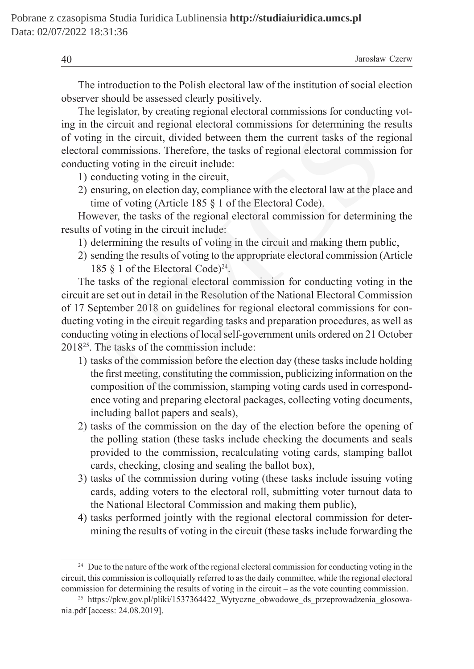The introduction to the Polish electoral law of the institution of social election observer should be assessed clearly positively.

The legislator, by creating regional electoral commissions for conducting voting in the circuit and regional electoral commissions for determining the results of voting in the circuit, divided between them the current tasks of the regional electoral commissions. Therefore, the tasks of regional electoral commission for conducting voting in the circuit include:

- 1) conducting voting in the circuit,
- 2) ensuring, on election day, compliance with the electoral law at the place and time of voting (Article 185 § 1 of the Electoral Code).

However, the tasks of the regional electoral commission for determining the results of voting in the circuit include:

- 1) determining the results of voting in the circuit and making them public,
- 2) sending the results of voting to the appropriate electoral commission (Article 185 § 1 of the Electoral Code)24.

The tasks of the regional electoral commission for conducting voting in the circuit are set out in detail in the Resolution of the National Electoral Commission of 17 September 2018 on guidelines for regional electoral commissions for conducting voting in the circuit regarding tasks and preparation procedures, as well as conducting voting in elections of local self-government units ordered on 21 October 201825. The tasks of the commission include: e circuit and regional electoral commissions for determining the<br>g in the circuit, divided between them the current tasks of the re<br>commissions. Therefore, the tasks of regional electoral commiss<br>ng voting in the circuit i

- 1) tasks of the commission before the election day (these tasks include holding the first meeting, constituting the commission, publicizing information on the composition of the commission, stamping voting cards used in correspondence voting and preparing electoral packages, collecting voting documents, including ballot papers and seals),
- 2) tasks of the commission on the day of the election before the opening of the polling station (these tasks include checking the documents and seals provided to the commission, recalculating voting cards, stamping ballot cards, checking, closing and sealing the ballot box),
- 3) tasks of the commission during voting (these tasks include issuing voting cards, adding voters to the electoral roll, submitting voter turnout data to the National Electoral Commission and making them public),
- 4) tasks performed jointly with the regional electoral commission for determining the results of voting in the circuit (these tasks include forwarding the

<sup>&</sup>lt;sup>24</sup> Due to the nature of the work of the regional electoral commission for conducting voting in the circuit, this commission is colloquially referred to as the daily committee, while the regional electoral commission for determining the results of voting in the circuit – as the vote counting commission.

<sup>&</sup>lt;sup>25</sup> https://pkw.gov.pl/pliki/1537364422 Wytyczne obwodowe ds przeprowadzenia glosowania.pdf [access: 24.08.2019].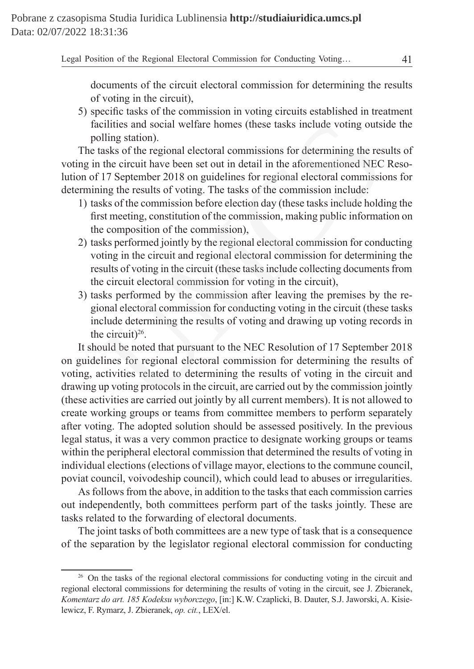documents of the circuit electoral commission for determining the results of voting in the circuit),

5) specific tasks of the commission in voting circuits established in treatment facilities and social welfare homes (these tasks include voting outside the polling station).

The tasks of the regional electoral commissions for determining the results of voting in the circuit have been set out in detail in the aforementioned NEC Resolution of 17 September 2018 on guidelines for regional electoral commissions for determining the results of voting. The tasks of the commission include:

- 1) tasks of the commission before election day (these tasks include holding the first meeting, constitution of the commission, making public information on the composition of the commission),
- 2) tasks performed jointly by the regional electoral commission for conducting voting in the circuit and regional electoral commission for determining the results of voting in the circuit (these tasks include collecting documents from the circuit electoral commission for voting in the circuit),
- 3) tasks performed by the commission after leaving the premises by the regional electoral commission for conducting voting in the circuit (these tasks include determining the results of voting and drawing up voting records in the circuit)<sup>26</sup>.

It should be noted that pursuant to the NEC Resolution of 17 September 2018 on guidelines for regional electoral commission for determining the results of voting, activities related to determining the results of voting in the circuit and drawing up voting protocols in the circuit, are carried out by the commission jointly (these activities are carried out jointly by all current members). It is not allowed to create working groups or teams from committee members to perform separately after voting. The adopted solution should be assessed positively. In the previous legal status, it was a very common practice to designate working groups or teams within the peripheral electoral commission that determined the results of voting in individual elections (elections of village mayor, elections to the commune council, poviat council, voivodeship council), which could lead to abuses or irregularities. cilities and social welfare homes (these tasks include voting outs<br>ciling station).<br>Ulling station).<br>tasks of the regional electoral commissions for determining the research<br>the circuit have been set out in detail in the a

As follows from the above, in addition to the tasks that each commission carries out independently, both committees perform part of the tasks jointly. These are tasks related to the forwarding of electoral documents.

The joint tasks of both committees are a new type of task that is a consequence of the separation by the legislator regional electoral commission for conducting

<sup>&</sup>lt;sup>26</sup> On the tasks of the regional electoral commissions for conducting voting in the circuit and regional electoral commissions for determining the results of voting in the circuit, see J. Zbieranek, *Komentarz do art. 185 Kodeksu wyborczego*, [in:] K.W. Czaplicki, B. Dauter, S.J. Jaworski, A. Kisielewicz, F. Rymarz, J. Zbieranek, *op. cit.*, LEX/el.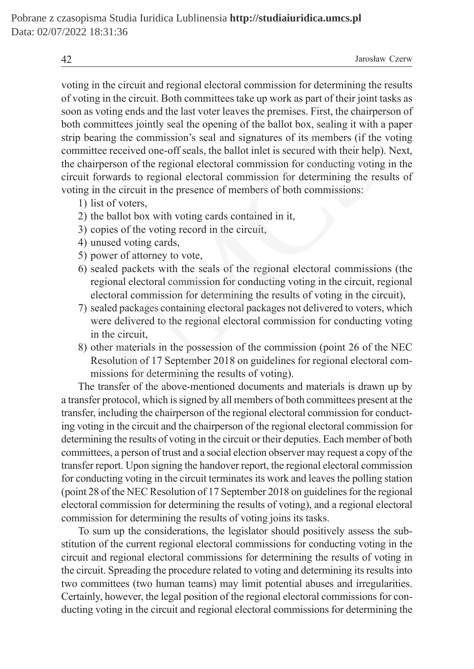voting in the circuit and regional electoral commission for determining the results of voting in the circuit. Both committees take up work as part of their joint tasks as soon as voting ends and the last voter leaves the premises. First, the chairperson of both committees jointly seal the opening of the ballot box, sealing it with a paper strip bearing the commission's seal and signatures of its members (if the voting committee received one-off seals, the ballot inlet is secured with their help). Next, the chairperson of the regional electoral commission for conducting voting in the circuit forwards to regional electoral commission for determining the results of voting in the circuit in the presence of members of both commissions: mittees jointly seal the opening of the ballot box, sealing it with a<br>ring the commission's seal and signatures of its members (if the<br>ee received one-off seals, the ballot inlet is secured with their help)<br>person of the r

- 1) list of voters,
- 2) the ballot box with voting cards contained in it,
- 3) copies of the voting record in the circuit,
- 4) unused voting cards,
- 5) power of attorney to vote,
- 6) sealed packets with the seals of the regional electoral commissions (the regional electoral commission for conducting voting in the circuit, regional electoral commission for determining the results of voting in the circuit),
- 7) sealed packages containing electoral packages not delivered to voters, which were delivered to the regional electoral commission for conducting voting in the circuit,
- 8) other materials in the possession of the commission (point 26 of the NEC Resolution of 17 September 2018 on guidelines for regional electoral commissions for determining the results of voting).

The transfer of the above-mentioned documents and materials is drawn up by a transfer protocol, which is signed by all members of both committees present at the transfer, including the chairperson of the regional electoral commission for conducting voting in the circuit and the chairperson of the regional electoral commission for determining the results of voting in the circuit or their deputies. Each member of both committees, a person of trust and a social election observer may request a copy of the transfer report. Upon signing the handover report, the regional electoral commission for conducting voting in the circuit terminates its work and leaves the polling station (point 28 of the NEC Resolution of 17 September 2018 on guidelines for the regional electoral commission for determining the results of voting), and a regional electoral commission for determining the results of voting joins its tasks.

To sum up the considerations, the legislator should positively assess the substitution of the current regional electoral commissions for conducting voting in the circuit and regional electoral commissions for determining the results of voting in the circuit. Spreading the procedure related to voting and determining its results into two committees (two human teams) may limit potential abuses and irregularities. Certainly, however, the legal position of the regional electoral commissions for conducting voting in the circuit and regional electoral commissions for determining the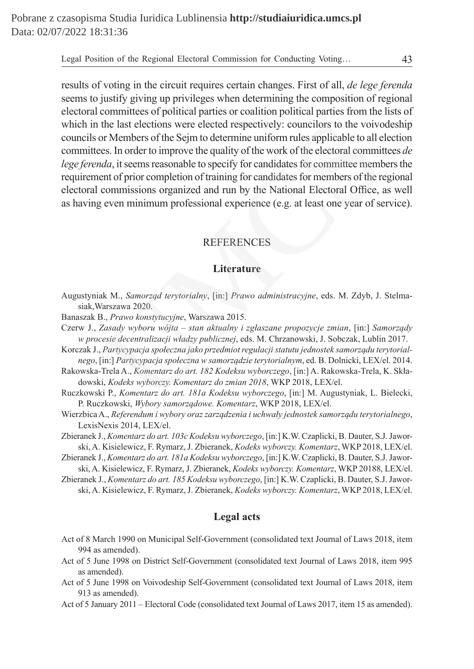results of voting in the circuit requires certain changes. First of all, *de lege ferenda* seems to justify giving up privileges when determining the composition of regional electoral committees of political parties or coalition political parties from the lists of which in the last elections were elected respectively: councilors to the voivodeship councils or Members of the Sejm to determine uniform rules applicable to all election committees. In order to improve the quality of the work of the electoral committees *de lege ferenda*, it seems reasonable to specify for candidates for committee members the requirement of prior completion of training for candidates for members of the regional electoral commissions organized and run by the National Electoral Office, as well as having even minimum professional experience (e.g. at least one year of service). the last elections were elected respectively: councilors to the voivo<br>or Members of the Sejm to determine uniform rules applicable to all e<br>ess. In order to improve the quality of the work of the electoral commit<br>elections

# REFERENCES

# **Literature**

- Augustyniak M., *Samorząd terytorialny*, [in:] *Prawo administracyjne*, eds. M. Zdyb, J. Stelmasiak,Warszawa 2020.
- Banaszak B., *Prawo konstytucyjne*, Warszawa 2015.
- Czerw J., *Zasady wyboru wójta stan aktualny i zgłaszane propozycje zmian*, [in:] *Samorządy w procesie decentralizacji władzy publicznej*, eds. M. Chrzanowski, J. Sobczak, Lublin 2017.
- Korczak J., *Partycypacja społeczna jako przedmiot regulacji statutu jednostek samorządu terytorialnego*, [in:] *Partycypacja społeczna w samorządzie terytorialnym*, ed. B. Dolnicki, LEX/el. 2014.
- Rakowska-Trela A., *Komentarz do art. 182 Kodeksu wyborczego*, [in:] A. Rakowska-Trela, K. Składowski, *Kodeks wyborczy. Komentarz do zmian 2018*, WKP 2018, LEX/el.
- Ruczkowski P., *Komentarz do art. 181a Kodeksu wyborczego*, [in:] M. Augustyniak, L. Bielecki, P. Ruczkowski, *Wybory samorządowe. Komentarz*, WKP 2018, LEX/el.
- Wierzbica A., *Referendum i wybory oraz zarządzenia i uchwały jednostek samorządu terytorialnego*, LexisNexis 2014, LEX/el.
- Zbieranek J., *Komentarz do art. 103c Kodeksu wyborczego*, [in:] K.W. Czaplicki, B. Dauter, S.J. Jaworski, A. Kisielewicz, F. Rymarz, J. Zbieranek, *Kodeks wyborczy. Komentarz*, WKP 2018, LEX/el.
- Zbieranek J., *Komentarz do art. 181a Kodeksu wyborczego*, [in:] K.W. Czaplicki, B. Dauter, S.J. Jaworski, A. Kisielewicz, F. Rymarz, J. Zbieranek, *Kodeks wyborczy. Komentarz*, WKP 20188, LEX/el.
- Zbieranek J., *Komentarz do art. 185 Kodeksu wyborczego*, [in:] K.W. Czaplicki, B. Dauter, S.J. Jaworski, A. Kisielewicz, F. Rymarz, J. Zbieranek, *Kodeks wyborczy. Komentarz*, WKP 2018, LEX/el.

### **Legal acts**

- Act of 8 March 1990 on Municipal Self-Government (consolidated text Journal of Laws 2018, item 994 as amended).
- Act of 5 June 1998 on District Self-Government (consolidated text Journal of Laws 2018, item 995 as amended).
- Act of 5 June 1998 on Voivodeship Self-Government (consolidated text Journal of Laws 2018, item 913 as amended).
- Act of 5 January 2011 Electoral Code (consolidated text Journal of Laws 2017, item 15 as amended).